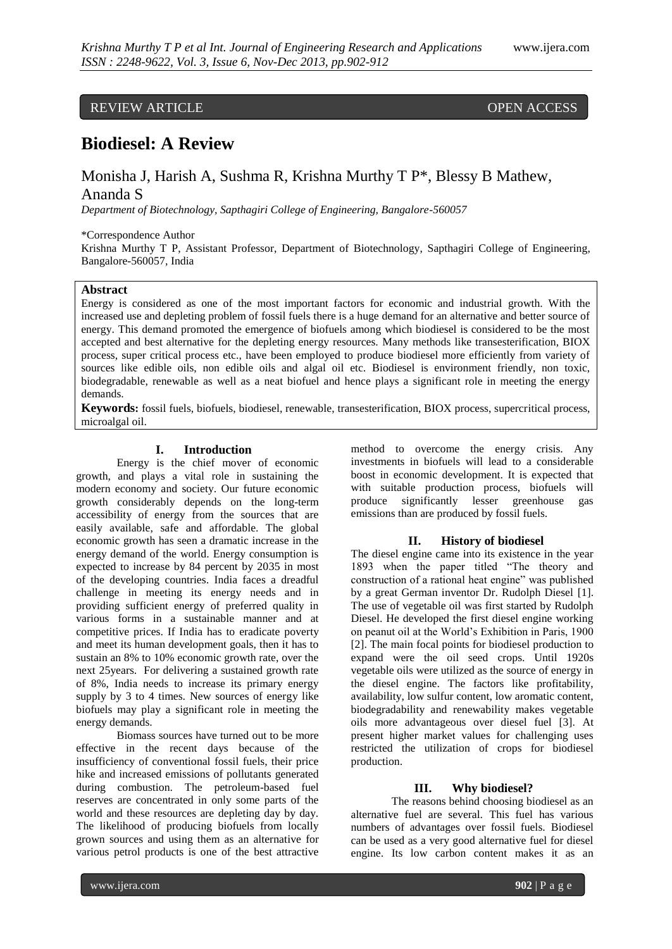# REVIEW ARTICLE OPEN ACCESS

# **Biodiesel: A Review**

# Monisha J, Harish A, Sushma R, Krishna Murthy T P\*, Blessy B Mathew, Ananda S

*Department of Biotechnology, Sapthagiri College of Engineering, Bangalore-560057*

# \*Correspondence Author

Krishna Murthy T P, Assistant Professor, Department of Biotechnology, Sapthagiri College of Engineering, Bangalore-560057, India

# **Abstract**

Energy is considered as one of the most important factors for economic and industrial growth. With the increased use and depleting problem of fossil fuels there is a huge demand for an alternative and better source of energy. This demand promoted the emergence of biofuels among which biodiesel is considered to be the most accepted and best alternative for the depleting energy resources. Many methods like transesterification, BIOX process, super critical process etc., have been employed to produce biodiesel more efficiently from variety of sources like edible oils, non edible oils and algal oil etc. Biodiesel is environment friendly, non toxic, biodegradable, renewable as well as a neat biofuel and hence plays a significant role in meeting the energy demands.

**Keywords:** fossil fuels, biofuels, biodiesel, renewable, transesterification, BIOX process, supercritical process, microalgal oil.

# **I. Introduction**

Energy is the chief mover of economic growth, and plays a vital role in sustaining the modern economy and society. Our future economic growth considerably depends on the long-term accessibility of energy from the sources that are easily available, safe and affordable. The global economic growth has seen a dramatic increase in the energy demand of the world. Energy consumption is expected to increase by 84 percent by 2035 in most of the developing countries. India faces a dreadful challenge in meeting its energy needs and in providing sufficient energy of preferred quality in various forms in a sustainable manner and at competitive prices. If India has to eradicate poverty and meet its human development goals, then it has to sustain an 8% to 10% economic growth rate, over the next 25years. For delivering a sustained growth rate of 8%, India needs to increase its primary energy supply by 3 to 4 times. New sources of energy like biofuels may play a significant role in meeting the energy demands.

Biomass sources have turned out to be more effective in the recent days because of the insufficiency of conventional fossil fuels, their price hike and increased emissions of pollutants generated during combustion. The petroleum-based fuel reserves are concentrated in only some parts of the world and these resources are depleting day by day. The likelihood of producing biofuels from locally grown sources and using them as an alternative for various petrol products is one of the best attractive

method to overcome the energy crisis. Any investments in biofuels will lead to a considerable boost in economic development. It is expected that with suitable production process, biofuels will produce significantly lesser greenhouse gas emissions than are produced by fossil fuels.

#### **II. History of biodiesel**

The diesel engine came into its existence in the year 1893 when the paper titled "The theory and construction of a rational heat engine" was published by a great German inventor Dr. Rudolph Diesel [1]. The use of vegetable oil was first started by Rudolph Diesel. He developed the first diesel engine working on peanut oil at the World's Exhibition in Paris, 1900 [2]. The main focal points for biodiesel production to expand were the oil seed crops. Until 1920s vegetable oils were utilized as the source of energy in the diesel engine. The factors like profitability, availability, low sulfur content, low aromatic content, biodegradability and renewability makes vegetable oils more advantageous over diesel fuel [3]. At present higher market values for challenging uses restricted the utilization of crops for biodiesel production.

#### **III. Why biodiesel?**

The reasons behind choosing biodiesel as an alternative fuel are several. This fuel has various numbers of advantages over fossil fuels. Biodiesel can be used as a very good alternative fuel for diesel engine. Its low carbon content makes it as an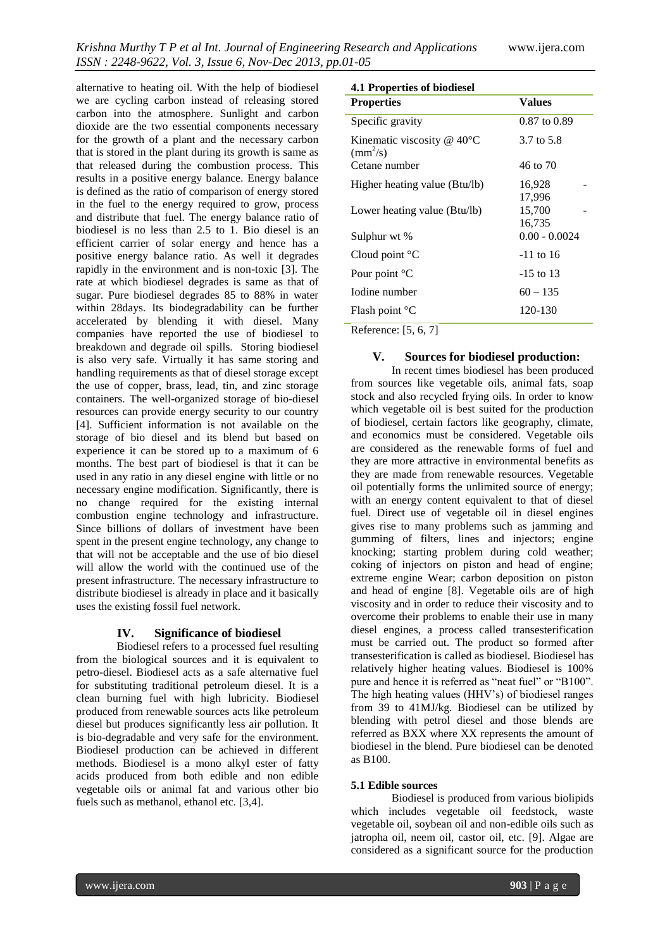alternative to heating oil. With the help of biodiesel we are cycling carbon instead of releasing stored carbon into the atmosphere. Sunlight and carbon dioxide are the two essential components necessary for the growth of a plant and the necessary carbon that is stored in the plant during its growth is same as that released during the combustion process. This results in a positive energy balance. Energy balance is defined as the ratio of comparison of energy stored in the fuel to the energy required to grow, process and distribute that fuel. The energy balance ratio of biodiesel is no less than 2.5 to 1. Bio diesel is an efficient carrier of solar energy and hence has a positive energy balance ratio. As well it degrades rapidly in the environment and is non-toxic [3]. The rate at which biodiesel degrades is same as that of sugar. Pure biodiesel degrades 85 to 88% in water within 28days. Its biodegradability can be further accelerated by blending it with diesel. Many companies have reported the use of biodiesel to breakdown and degrade oil spills. Storing biodiesel is also very safe. Virtually it has same storing and handling requirements as that of diesel storage except the use of copper, brass, lead, tin, and zinc storage containers. The well-organized storage of bio-diesel resources can provide energy security to our country [4]. Sufficient information is not available on the storage of bio diesel and its blend but based on experience it can be stored up to a maximum of 6 months. The best part of biodiesel is that it can be used in any ratio in any diesel engine with little or no necessary engine modification. Significantly, there is no change required for the existing internal combustion engine technology and infrastructure. Since billions of dollars of investment have been spent in the present engine technology, any change to that will not be acceptable and the use of bio diesel will allow the world with the continued use of the present infrastructure. The necessary infrastructure to distribute biodiesel is already in place and it basically uses the existing fossil fuel network.

#### **IV. Significance of biodiesel**

Biodiesel refers to a processed fuel resulting from the biological sources and it is equivalent to petro-diesel. Biodiesel acts as a safe alternative fuel for substituting traditional petroleum diesel. It is a clean burning fuel with high lubricity. Biodiesel produced from renewable sources acts like petroleum diesel but produces significantly less air pollution. It is bio-degradable and very safe for the environment. Biodiesel production can be achieved in different methods. Biodiesel is a mono alkyl ester of fatty acids produced from both edible and non edible vegetable oils or animal fat and various other bio fuels such as methanol, ethanol etc. [3,4].

| 4.1 Properties of biodiesel                                 |                  |  |
|-------------------------------------------------------------|------------------|--|
| <b>Properties</b>                                           | Values           |  |
| Specific gravity                                            | $0.87$ to $0.89$ |  |
| Kinematic viscosity $@$ 40 $°C$<br>$\text{(mm}^2\text{/s)}$ | 3.7 to 5.8       |  |
| Cetane number                                               | 46 to 70         |  |
| Higher heating value (Btu/lb)                               | 16,928<br>17,996 |  |
| Lower heating value (Btu/lb)                                | 15,700<br>16,735 |  |
| Sulphur wt %                                                | $0.00 - 0.0024$  |  |
| Cloud point $^{\circ}$ C                                    | -11 to 16        |  |
| Pour point $\mathrm{C}$                                     | -15 to 13        |  |
| Iodine number                                               | $60 - 135$       |  |
| Flash point $\mathrm{C}^{\circ}\mathrm{C}$                  | 120-130          |  |

Reference: [5, 6, 7]

#### **V. Sources for biodiesel production:**

In recent times biodiesel has been produced from sources like vegetable oils, animal fats, soap stock and also recycled frying oils. In order to know which vegetable oil is best suited for the production of biodiesel, certain factors like geography, climate, and economics must be considered. Vegetable oils are considered as the renewable forms of fuel and they are more attractive in environmental benefits as they are made from renewable resources. Vegetable oil potentially forms the unlimited source of energy; with an energy content equivalent to that of diesel fuel. Direct use of vegetable oil in diesel engines gives rise to many problems such as jamming and gumming of filters, lines and injectors; engine knocking; starting problem during cold weather; coking of injectors on piston and head of engine; extreme engine Wear; carbon deposition on piston and head of engine [8]. Vegetable oils are of high viscosity and in order to reduce their viscosity and to overcome their problems to enable their use in many diesel engines, a process called transesterification must be carried out. The product so formed after transesterification is called as biodiesel. Biodiesel has relatively higher heating values. Biodiesel is 100% pure and hence it is referred as "neat fuel" or "B100". The high heating values (HHV's) of biodiesel ranges from 39 to 41MJ/kg. Biodiesel can be utilized by blending with petrol diesel and those blends are referred as BXX where XX represents the amount of biodiesel in the blend. Pure biodiesel can be denoted as B100.

#### **5.1 Edible sources**

Biodiesel is produced from various biolipids which includes vegetable oil feedstock, waste vegetable oil, soybean oil and non-edible oils such as jatropha oil, neem oil, castor oil, etc. [9]. Algae are considered as a significant source for the production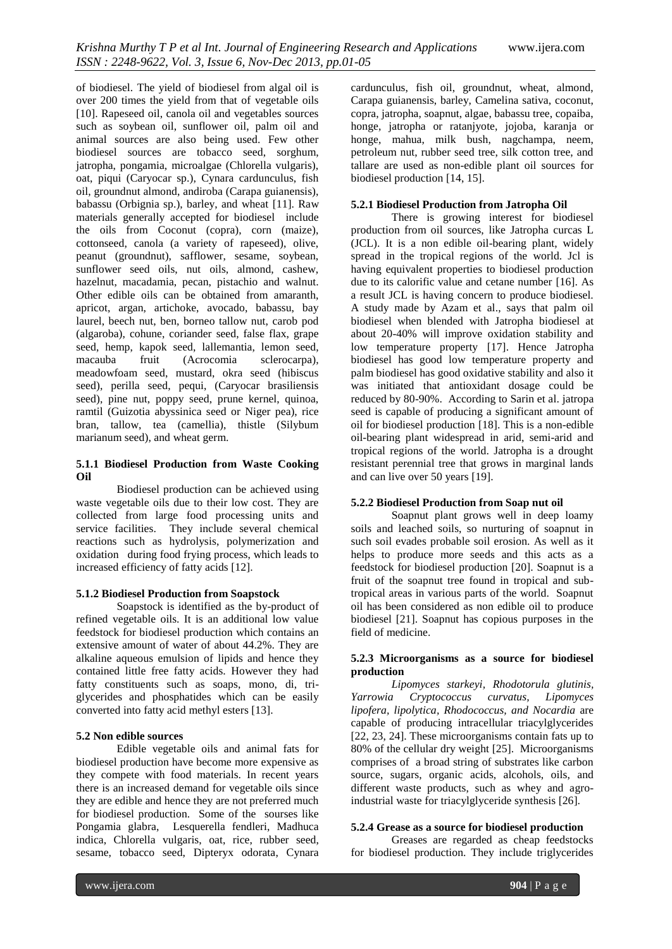of biodiesel. The yield of biodiesel from algal oil is over 200 times the yield from that of vegetable oils [10]. Rapeseed oil, canola oil and vegetables sources such as soybean oil, sunflower oil, palm oil and animal sources are also being used. Few other biodiesel sources are tobacco seed, sorghum, jatropha, pongamia, microalgae (Chlorella vulgaris), oat, piqui (Caryocar sp.), Cynara cardunculus, fish oil, groundnut almond, andiroba (Carapa guianensis), babassu (Orbignia sp.), barley, and wheat [11]. Raw materials generally accepted for biodiesel include the oils from Coconut (copra), corn (maize), cottonseed, canola (a variety of rapeseed), olive, peanut (groundnut), safflower, sesame, soybean, sunflower seed oils, nut oils, almond, cashew, hazelnut, macadamia, pecan, pistachio and walnut. Other edible oils can be obtained from amaranth, apricot, argan, artichoke, avocado, babassu, bay laurel, beech nut, ben, borneo tallow nut, carob pod (algaroba), cohune, coriander seed, false flax, grape seed, hemp, kapok seed, lallemantia, lemon seed, macauba fruit (Acrocomia sclerocarpa), meadowfoam seed, mustard, okra seed (hibiscus seed), perilla seed, pequi, (Caryocar brasiliensis seed), pine nut, poppy seed, prune kernel, quinoa, ramtil (Guizotia abyssinica seed or Niger pea), rice bran, tallow, tea (camellia), thistle (Silybum marianum seed), and wheat germ.

#### **5.1.1 Biodiesel Production from Waste Cooking Oil**

Biodiesel production can be achieved using waste vegetable oils due to their low cost. They are collected from large food processing units and service facilities. They include several chemical reactions such as hydrolysis, polymerization and oxidation during food frying process, which leads to increased efficiency of fatty acids [12].

#### **5.1.2 Biodiesel Production from Soapstock**

Soapstock is identified as the by-product of refined vegetable oils. It is an additional low value feedstock for biodiesel production which contains an extensive amount of water of about 44.2%. They are alkaline aqueous emulsion of lipids and hence they contained little free fatty acids. However they had fatty constituents such as soaps, mono, di, triglycerides and phosphatides which can be easily converted into fatty acid methyl esters [13].

#### **5.2 Non edible sources**

Edible vegetable oils and animal fats for biodiesel production have become more expensive as they compete with food materials. In recent years there is an increased demand for vegetable oils since they are edible and hence they are not preferred much for biodiesel production. Some of the sourses like Pongamia glabra, Lesquerella fendleri, Madhuca indica, Chlorella vulgaris, oat, rice, rubber seed, sesame, tobacco seed, Dipteryx odorata, Cynara cardunculus, fish oil, groundnut, wheat, almond, Carapa guianensis, barley, Camelina sativa, coconut, copra, jatropha, soapnut, algae, babassu tree, copaiba, honge, jatropha or ratanjyote, jojoba, karanja or honge, mahua, milk bush, nagchampa, neem, petroleum nut, rubber seed tree, silk cotton tree, and tallare are used as non-edible plant oil sources for biodiesel production [14, 15].

### **5.2.1 Biodiesel Production from Jatropha Oil**

There is growing interest for biodiesel production from oil sources, like Jatropha curcas L (JCL). It is a non edible oil-bearing plant, widely spread in the tropical regions of the world. Jcl is having equivalent properties to biodiesel production due to its calorific value and cetane number [16]. As a result JCL is having concern to produce biodiesel. A study made by Azam et al., says that palm oil biodiesel when blended with Jatropha biodiesel at about 20-40% will improve oxidation stability and low temperature property [17]. Hence Jatropha biodiesel has good low temperature property and palm biodiesel has good oxidative stability and also it was initiated that antioxidant dosage could be reduced by 80-90%. According to Sarin et al. jatropa seed is capable of producing a significant amount of oil for biodiesel production [18]. This is a non-edible oil-bearing plant widespread in arid, semi-arid and tropical regions of the world. Jatropha is a drought resistant perennial tree that grows in marginal lands and can live over 50 years [19].

#### **5.2.2 Biodiesel Production from Soap nut oil**

Soapnut plant grows well in deep loamy soils and leached soils, so nurturing of soapnut in such soil evades probable soil erosion. As well as it helps to produce more seeds and this acts as a feedstock for biodiesel production [20]. Soapnut is a fruit of the soapnut tree found in tropical and subtropical areas in various parts of the world. Soapnut oil has been considered as non edible oil to produce biodiesel [21]. Soapnut has copious purposes in the field of medicine.

#### **5.2.3 Microorganisms as a source for biodiesel production**

*Lipomyces starkeyi, Rhodotorula glutinis, Yarrowia Cryptococcus curvatus, Lipomyces lipofera, lipolytica, Rhodococcus, and Nocardia* are capable of producing intracellular triacylglycerides [22, 23, 24]. These microorganisms contain fats up to 80% of the cellular dry weight [25]. Microorganisms comprises of a broad string of substrates like carbon source, sugars, organic acids, alcohols, oils, and different waste products, such as whey and agroindustrial waste for triacylglyceride synthesis [26].

#### **5.2.4 Grease as a source for biodiesel production**

Greases are regarded as cheap feedstocks for biodiesel production. They include triglycerides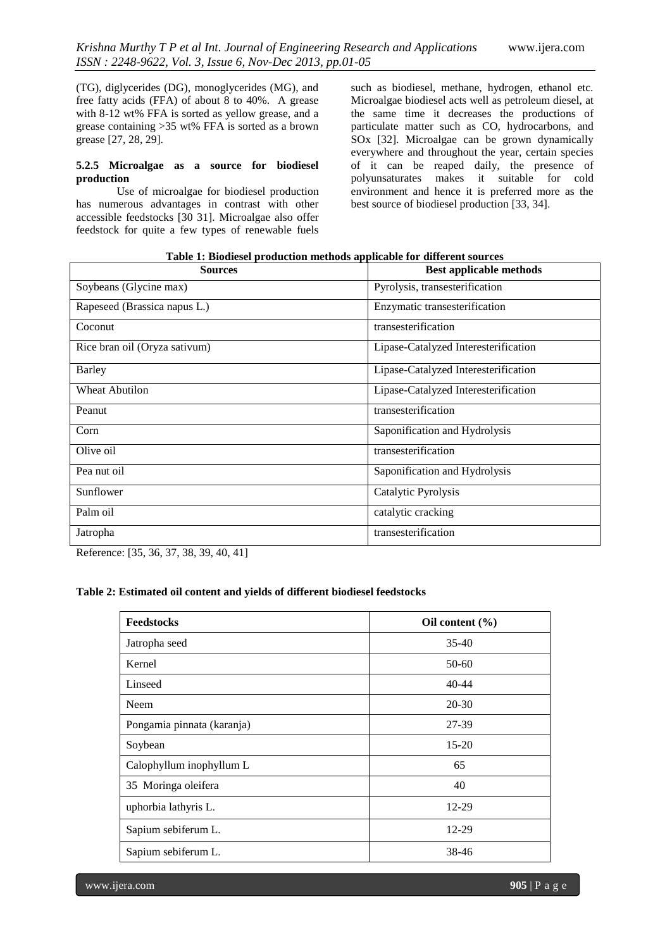(TG), diglycerides (DG), monoglycerides (MG), and free fatty acids (FFA) of about 8 to 40%. A grease with 8-12 wt% FFA is sorted as yellow grease, and a grease containing >35 wt% FFA is sorted as a brown grease [27, 28, 29].

### **5.2.5 Microalgae as a source for biodiesel production**

Use of microalgae for biodiesel production has numerous advantages in contrast with other accessible feedstocks [30 31]. Microalgae also offer feedstock for quite a few types of renewable fuels

such as biodiesel, methane, hydrogen, ethanol etc. Microalgae biodiesel acts well as petroleum diesel, at the same time it decreases the productions of particulate matter such as CO, hydrocarbons, and SOx [32]. Microalgae can be grown dynamically everywhere and throughout the year, certain species of it can be reaped daily, the presence of polyunsaturates makes it suitable for cold environment and hence it is preferred more as the best source of biodiesel production [33, 34].

| Table 1: Biodiesel production methods applicable for different sources |  |  |
|------------------------------------------------------------------------|--|--|
|                                                                        |  |  |

| <b>Sources</b>                | <b>Best applicable methods</b>       |
|-------------------------------|--------------------------------------|
| Soybeans (Glycine max)        | Pyrolysis, transesterification       |
| Rapeseed (Brassica napus L.)  | Enzymatic transesterification        |
| Coconut                       | transesterification                  |
| Rice bran oil (Oryza sativum) | Lipase-Catalyzed Interesterification |
| <b>Barley</b>                 | Lipase-Catalyzed Interesterification |
| <b>Wheat Abutilon</b>         | Lipase-Catalyzed Interesterification |
| Peanut                        | transesterification                  |
| Corn                          | Saponification and Hydrolysis        |
| Olive oil                     | transesterification                  |
| Pea nut oil                   | Saponification and Hydrolysis        |
| Sunflower                     | Catalytic Pyrolysis                  |
| Palm oil                      | catalytic cracking                   |
| Jatropha                      | transesterification                  |

Reference: [35, 36, 37, 38, 39, 40, 41]

# **Table 2: Estimated oil content and yields of different biodiesel feedstocks**

| Feedstocks                 | Oil content $(\% )$ |
|----------------------------|---------------------|
| Jatropha seed              | $35-40$             |
| Kernel                     | 50-60               |
| Linseed                    | $40 - 44$           |
| Neem                       | 20-30               |
| Pongamia pinnata (karanja) | 27-39               |
| Soybean                    | $15-20$             |
| Calophyllum inophyllum L   | 65                  |
| 35 Moringa oleifera        | 40                  |
| uphorbia lathyris L.       | 12-29               |
| Sapium sebiferum L.        | 12-29               |
| Sapium sebiferum L.        | 38-46               |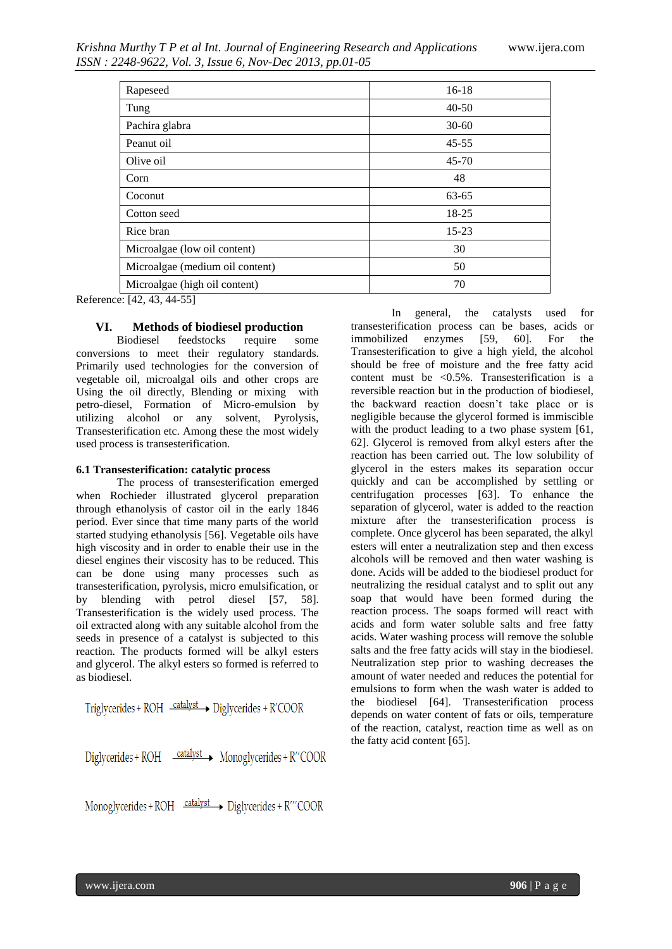| Rapeseed                        | $16-18$   |
|---------------------------------|-----------|
| Tung                            | $40 - 50$ |
| Pachira glabra                  | $30 - 60$ |
| Peanut oil                      | $45 - 55$ |
| Olive oil                       | $45 - 70$ |
| Corn                            | 48        |
| Coconut                         | $63 - 65$ |
| Cotton seed                     | 18-25     |
| Rice bran                       | $15 - 23$ |
| Microalgae (low oil content)    | 30        |
| Microalgae (medium oil content) | 50        |
| Microalgae (high oil content)   | 70        |

Reference: [42, 43, 44-55]

#### **VI. Methods of biodiesel production**

Biodiesel feedstocks require some conversions to meet their regulatory standards. Primarily used technologies for the conversion of vegetable oil, microalgal oils and other crops are Using the oil directly, Blending or mixing with petro-diesel, Formation of Micro-emulsion by utilizing alcohol or any solvent, Pyrolysis, Transesterification etc. Among these the most widely used process is transesterification.

#### **6.1 Transesterification: catalytic process**

The process of transesterification emerged when Rochieder illustrated glycerol preparation through ethanolysis of castor oil in the early 1846 period. Ever since that time many parts of the world started studying ethanolysis [56]. Vegetable oils have high viscosity and in order to enable their use in the diesel engines their viscosity has to be reduced. This can be done using many processes such as transesterification, pyrolysis, micro emulsification, or by blending with petrol diesel [57, 58]. Transesterification is the widely used process. The oil extracted along with any suitable alcohol from the seeds in presence of a catalyst is subjected to this reaction. The products formed will be alkyl esters and glycerol. The alkyl esters so formed is referred to as biodiesel.

Triglycerides +  $ROH \xrightarrow{catalyst}$  Diglycerides +  $R'COOR$ 

 $Digit{1}$   $\rightarrow$  ROH  $\rightarrow$   $\rightarrow$  Monoglycerides + R''COOR

Monoglycerides +  $ROH \xrightarrow{catalyst}$  Diglycerides +  $R'''$ COOR

In general, the catalysts used for transesterification process can be bases, acids or immobilized enzymes [59, 60]. For the Transesterification to give a high yield, the alcohol should be free of moisture and the free fatty acid content must be  $\langle 0.5\% \rangle$ . Transesterification is a reversible reaction but in the production of biodiesel, the backward reaction doesn't take place or is negligible because the glycerol formed is immiscible with the product leading to a two phase system [61, 62]. Glycerol is removed from alkyl esters after the reaction has been carried out. The low solubility of glycerol in the esters makes its separation occur quickly and can be accomplished by settling or centrifugation processes [63]. To enhance the separation of glycerol, water is added to the reaction mixture after the transesterification process is complete. Once glycerol has been separated, the alkyl esters will enter a neutralization step and then excess alcohols will be removed and then water washing is done. Acids will be added to the biodiesel product for neutralizing the residual catalyst and to split out any soap that would have been formed during the reaction process. The soaps formed will react with acids and form water soluble salts and free fatty acids. Water washing process will remove the soluble salts and the free fatty acids will stay in the biodiesel. Neutralization step prior to washing decreases the amount of water needed and reduces the potential for emulsions to form when the wash water is added to the biodiesel [64]. Transesterification process depends on water content of fats or oils, temperature of the reaction, catalyst, reaction time as well as on the fatty acid content [65].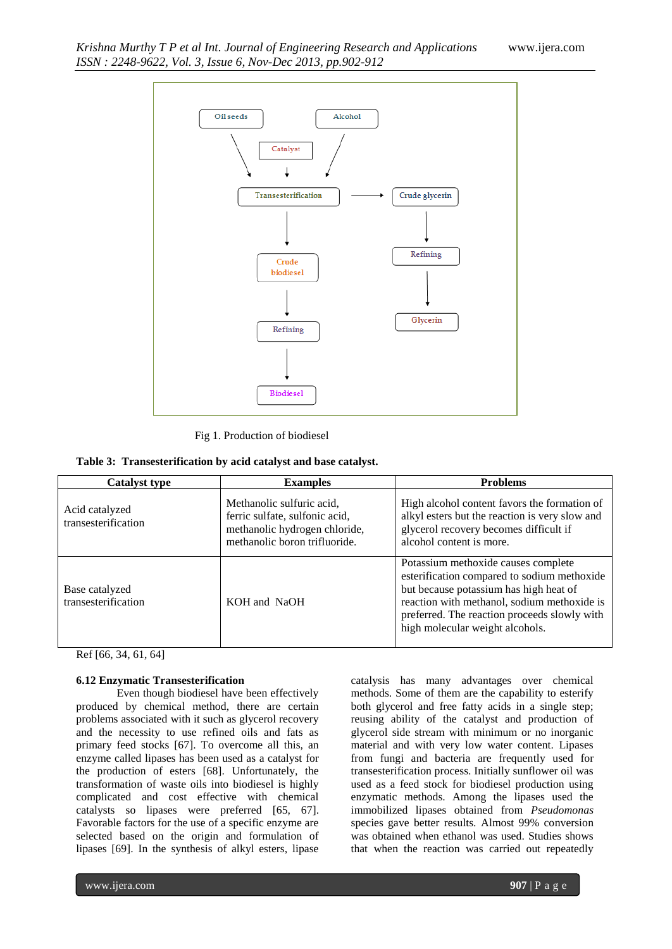

Fig 1. Production of biodiesel

| <b>Catalyst type</b>                  | <b>Examples</b>                                                                                                               | <b>Problems</b>                                                                                                                                                                                                                                                |
|---------------------------------------|-------------------------------------------------------------------------------------------------------------------------------|----------------------------------------------------------------------------------------------------------------------------------------------------------------------------------------------------------------------------------------------------------------|
| Acid catalyzed<br>transesterification | Methanolic sulfuric acid,<br>ferric sulfate, sulfonic acid,<br>methanolic hydrogen chloride,<br>methanolic boron trifluoride. | High alcohol content favors the formation of<br>alkyl esters but the reaction is very slow and<br>glycerol recovery becomes difficult if<br>alcohol content is more.                                                                                           |
| Base catalyzed<br>transesterification | KOH and NaOH                                                                                                                  | Potassium methoxide causes complete<br>esterification compared to sodium methoxide<br>but because potassium has high heat of<br>reaction with methanol, sodium methoxide is<br>preferred. The reaction proceeds slowly with<br>high molecular weight alcohols. |

Ref [66, 34, 61, 64]

## **6.12 Enzymatic Transesterification**

Even though biodiesel have been effectively produced by chemical method, there are certain problems associated with it such as glycerol recovery and the necessity to use refined oils and fats as primary feed stocks [67]. To overcome all this, an enzyme called lipases has been used as a catalyst for the production of esters [68]. Unfortunately, the transformation of waste oils into biodiesel is highly complicated and cost effective with chemical catalysts so lipases were preferred [65, 67]. Favorable factors for the use of a specific enzyme are selected based on the origin and formulation of lipases [69]. In the synthesis of alkyl esters, lipase

catalysis has many advantages over chemical methods. Some of them are the capability to esterify both glycerol and free fatty acids in a single step; reusing ability of the catalyst and production of glycerol side stream with minimum or no inorganic material and with very low water content. Lipases from fungi and bacteria are frequently used for transesterification process. Initially sunflower oil was used as a feed stock for biodiesel production using enzymatic methods. Among the lipases used the immobilized lipases obtained from *Pseudomonas* species gave better results. Almost 99% conversion was obtained when ethanol was used. Studies shows that when the reaction was carried out repeatedly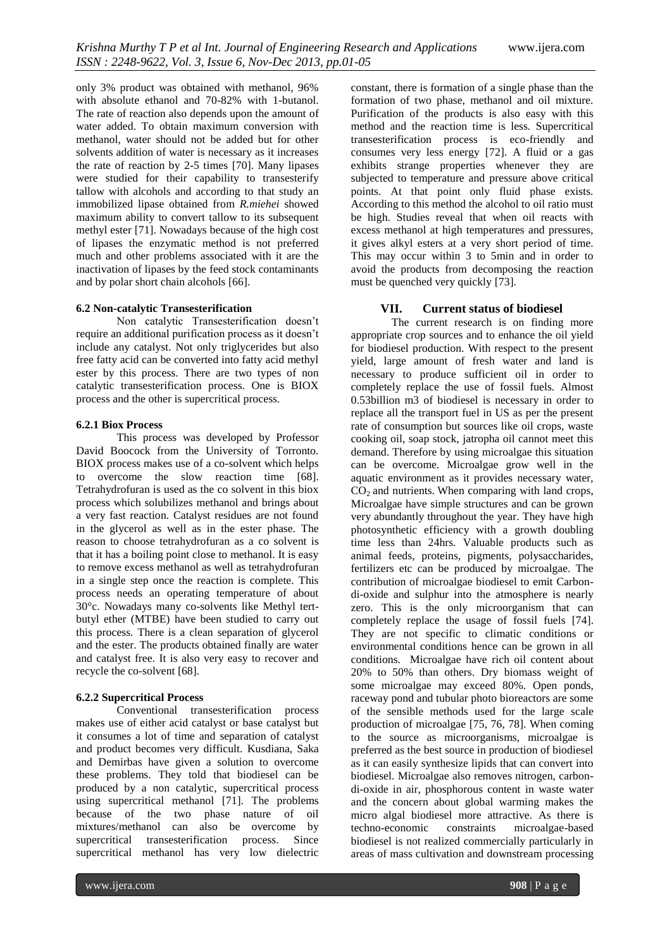only 3% product was obtained with methanol, 96% with absolute ethanol and 70-82% with 1-butanol. The rate of reaction also depends upon the amount of water added. To obtain maximum conversion with methanol, water should not be added but for other solvents addition of water is necessary as it increases the rate of reaction by 2-5 times [70]. Many lipases were studied for their capability to transesterify tallow with alcohols and according to that study an immobilized lipase obtained from *R.miehei* showed maximum ability to convert tallow to its subsequent methyl ester [71]. Nowadays because of the high cost of lipases the enzymatic method is not preferred much and other problems associated with it are the inactivation of lipases by the feed stock contaminants and by polar short chain alcohols [66].

#### **6.2 Non-catalytic Transesterification**

Non catalytic Transesterification doesn't require an additional purification process as it doesn't include any catalyst. Not only triglycerides but also free fatty acid can be converted into fatty acid methyl ester by this process. There are two types of non catalytic transesterification process. One is BIOX process and the other is supercritical process.

#### **6.2.1 Biox Process**

This process was developed by Professor David Boocock from the University of Torronto. BIOX process makes use of a co-solvent which helps to overcome the slow reaction time [68]. Tetrahydrofuran is used as the co solvent in this biox process which solubilizes methanol and brings about a very fast reaction. Catalyst residues are not found in the glycerol as well as in the ester phase. The reason to choose tetrahydrofuran as a co solvent is that it has a boiling point close to methanol. It is easy to remove excess methanol as well as tetrahydrofuran in a single step once the reaction is complete. This process needs an operating temperature of about 30°c. Nowadays many co-solvents like Methyl tertbutyl ether (MTBE) have been studied to carry out this process. There is a clean separation of glycerol and the ester. The products obtained finally are water and catalyst free. It is also very easy to recover and recycle the co-solvent [68].

## **6.2.2 Supercritical Process**

Conventional transesterification process makes use of either acid catalyst or base catalyst but it consumes a lot of time and separation of catalyst and product becomes very difficult. Kusdiana, Saka and Demirbas have given a solution to overcome these problems. They told that biodiesel can be produced by a non catalytic, supercritical process using supercritical methanol [71]. The problems because of the two phase nature of oil mixtures/methanol can also be overcome by supercritical transesterification process. Since supercritical methanol has very low dielectric

constant, there is formation of a single phase than the formation of two phase, methanol and oil mixture. Purification of the products is also easy with this method and the reaction time is less. Supercritical transesterification process is eco-friendly and consumes very less energy [72]. A fluid or a gas exhibits strange properties whenever they are subjected to temperature and pressure above critical points. At that point only fluid phase exists. According to this method the alcohol to oil ratio must be high. Studies reveal that when oil reacts with excess methanol at high temperatures and pressures, it gives alkyl esters at a very short period of time. This may occur within 3 to 5min and in order to avoid the products from decomposing the reaction must be quenched very quickly [73].

# **VII. Current status of biodiesel**

The current research is on finding more appropriate crop sources and to enhance the oil yield for biodiesel production. With respect to the present yield, large amount of fresh water and land is necessary to produce sufficient oil in order to completely replace the use of fossil fuels. Almost 0.53billion m3 of biodiesel is necessary in order to replace all the transport fuel in US as per the present rate of consumption but sources like oil crops, waste cooking oil, soap stock, jatropha oil cannot meet this demand. Therefore by using microalgae this situation can be overcome. Microalgae grow well in the aquatic environment as it provides necessary water,  $CO<sub>2</sub>$  and nutrients. When comparing with land crops, Microalgae have simple structures and can be grown very abundantly throughout the year. They have high photosynthetic efficiency with a growth doubling time less than 24hrs. Valuable products such as animal feeds, proteins, pigments, polysaccharides, fertilizers etc can be produced by microalgae. The contribution of microalgae biodiesel to emit Carbondi-oxide and sulphur into the atmosphere is nearly zero. This is the only microorganism that can completely replace the usage of fossil fuels [74]. They are not specific to climatic conditions or environmental conditions hence can be grown in all conditions. Microalgae have rich oil content about 20% to 50% than others. Dry biomass weight of some microalgae may exceed 80%. Open ponds, raceway pond and tubular photo bioreactors are some of the sensible methods used for the large scale production of microalgae [75, 76, 78]. When coming to the source as microorganisms, microalgae is preferred as the best source in production of biodiesel as it can easily synthesize lipids that can convert into biodiesel. Microalgae also removes nitrogen, carbondi-oxide in air, phosphorous content in waste water and the concern about global warming makes the micro algal biodiesel more attractive. As there is techno-economic constraints microalgae-based biodiesel is not realized commercially particularly in areas of mass cultivation and downstream processing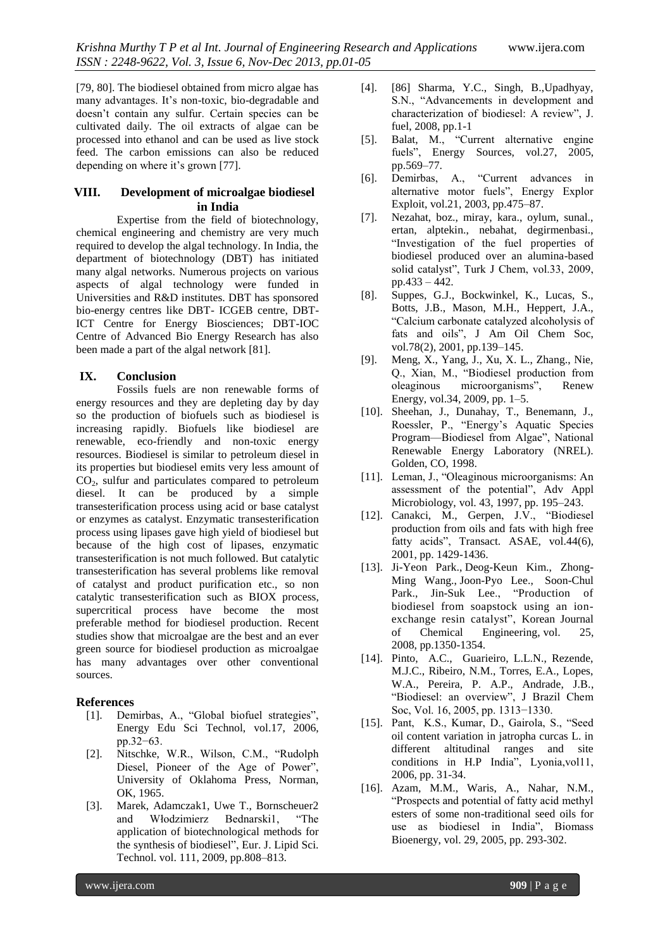[79, 80]. The biodiesel obtained from micro algae has many advantages. It's non-toxic, bio-degradable and doesn't contain any sulfur. Certain species can be cultivated daily. The oil extracts of algae can be processed into ethanol and can be used as live stock feed. The carbon emissions can also be reduced depending on where it's grown [77].

# **VIII. Development of microalgae biodiesel in India**

Expertise from the field of biotechnology, chemical engineering and chemistry are very much required to develop the algal technology. In India, the department of biotechnology (DBT) has initiated many algal networks. Numerous projects on various aspects of algal technology were funded in Universities and R&D institutes. DBT has sponsored bio-energy centres like DBT- ICGEB centre, DBT-ICT Centre for Energy Biosciences; DBT-IOC Centre of Advanced Bio Energy Research has also been made a part of the algal network [81].

# **IX. Conclusion**

Fossils fuels are non renewable forms of energy resources and they are depleting day by day so the production of biofuels such as biodiesel is increasing rapidly. Biofuels like biodiesel are renewable, eco-friendly and non-toxic energy resources. Biodiesel is similar to petroleum diesel in its properties but biodiesel emits very less amount of  $CO<sub>2</sub>$ , sulfur and particulates compared to petroleum diesel. It can be produced by a simple transesterification process using acid or base catalyst or enzymes as catalyst. Enzymatic transesterification process using lipases gave high yield of biodiesel but because of the high cost of lipases, enzymatic transesterification is not much followed. But catalytic transesterification has several problems like removal of catalyst and product purification etc., so non catalytic transesterification such as BIOX process, supercritical process have become the most preferable method for biodiesel production. Recent studies show that microalgae are the best and an ever green source for biodiesel production as microalgae has many advantages over other conventional sources.

# **References**

- [1]. Demirbas, A., "Global biofuel strategies", Energy Edu Sci Technol, vol.17, 2006, pp.32−63.
- [2]. Nitschke, W.R., Wilson, C.M., "Rudolph Diesel, Pioneer of the Age of Power", University of Oklahoma Press, Norman, OK, 1965.
- [3]. Marek, Adamczak1, Uwe T., Bornscheuer2 and Włodzimierz Bednarski1, "The application of biotechnological methods for the synthesis of biodiesel", Eur. J. Lipid Sci. Technol. vol. 111, 2009, pp.808–813.
- [4]. [86] Sharma, Y.C., Singh, B.,Upadhyay, S.N., "Advancements in development and characterization of biodiesel: A review", J. fuel, 2008, pp.1-1
- [5]. Balat, M., "Current alternative engine fuels", Energy Sources, vol.27, 2005, pp.569–77.
- [6]. Demirbas, A., "Current advances in alternative motor fuels", Energy Explor Exploit, vol.21, 2003, pp.475–87.
- [7]. Nezahat, boz., miray, kara., oylum, sunal., ertan, alptekin., nebahat, degirmenbasi., "Investigation of the fuel properties of biodiesel produced over an alumina-based solid catalyst", Turk J Chem, vol.33, 2009, pp.433 – 442.
- [8]. Suppes, G.J., Bockwinkel, K., Lucas, S., Botts, J.B., Mason, M.H., Heppert, J.A., "Calcium carbonate catalyzed alcoholysis of fats and oils", J Am Oil Chem Soc, vol.78(2), 2001, pp.139–145.
- [9]. Meng, X., Yang, J., Xu, X. L., Zhang., Nie, Q., Xian, M., "Biodiesel production from oleaginous microorganisms", Renew Energy, vol.34, 2009, pp. 1–5.
- [10]. Sheehan, J., Dunahay, T., Benemann, J., Roessler, P., "Energy's Aquatic Species Program—Biodiesel from Algae", National Renewable Energy Laboratory (NREL). Golden, CO, 1998.
- [11]. Leman, J., "Oleaginous microorganisms: An assessment of the potential", Adv Appl Microbiology, vol. 43, 1997, pp. 195–243.
- [12]. Canakci, M., Gerpen, J.V., "Biodiesel production from oils and fats with high free fatty acids", Transact. ASAE, vol.44(6), 2001, pp. 1429-1436.
- [13]. [Ji-Yeon Park.](http://link.springer.com/search?facet-author=%22Ji-Yeon+Park%22), [Deog-Keun Kim.,](http://link.springer.com/search?facet-author=%22Deog-Keun+Kim%22) [Zhong-](http://link.springer.com/search?facet-author=%22Zhong-Ming+Wang%22)[Ming Wang.,](http://link.springer.com/search?facet-author=%22Zhong-Ming+Wang%22) [Joon-Pyo Lee.](http://link.springer.com/search?facet-author=%22Joon-Pyo+Lee%22), [Soon-Chul](http://link.springer.com/search?facet-author=%22Soon-Chul+Park%22)  [Park.](http://link.springer.com/search?facet-author=%22Soon-Chul+Park%22), [Jin-Suk Lee.](http://link.springer.com/search?facet-author=%22Jin-Suk+Lee%22), "Production of biodiesel from soapstock using an ionexchange resin catalyst", [Korean Journal](http://link.springer.com/journal/11814)  [of Chemical Engineering,](http://link.springer.com/journal/11814) vol. 25, 2008, pp.1350-1354.
- [14]. Pinto, A.C., Guarieiro, L.L.N., Rezende, M.J.C., Ribeiro, N.M., Torres, E.A., Lopes, W.A., Pereira, P. A.P., Andrade, J.B., "Biodiesel: an overview", J Brazil Chem Soc, Vol. 16, 2005, pp. 1313−1330.
- [15]. Pant, K.S., Kumar, D., Gairola, S., "Seed oil content variation in jatropha curcas L. in different altitudinal ranges and site conditions in H.P India", Lyonia,vol11, 2006, pp. 31-34.
- [16]. Azam, M.M., Waris, A., Nahar, N.M., "Prospects and potential of fatty acid methyl esters of some non-traditional seed oils for use as biodiesel in India", Biomass Bioenergy, vol. 29, 2005, pp. 293-302.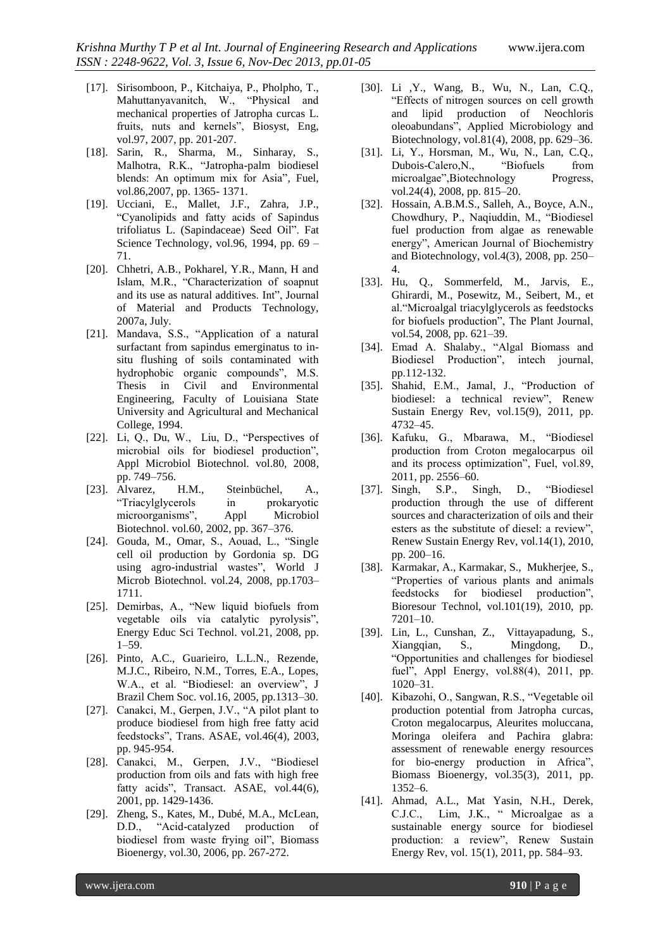- [17]. Sirisomboon, P., Kitchaiya, P., Pholpho, T., Mahuttanyavanitch, W., "Physical and mechanical properties of Jatropha curcas L. fruits, nuts and kernels", Biosyst, Eng, vol.97, 2007, pp. 201-207.
- [18]. Sarin, R., Sharma, M., Sinharay, S., Malhotra, R.K., "Jatropha-palm biodiesel blends: An optimum mix for Asia", Fuel, vol.86,2007, pp. 1365- 1371.
- [19]. Ucciani, E., Mallet, J.F., Zahra, J.P., "Cyanolipids and fatty acids of Sapindus trifoliatus L. (Sapindaceae) Seed Oil". Fat Science Technology, vol.96, 1994, pp.  $69 -$ 71.
- [20]. Chhetri, A.B., Pokharel, Y.R., Mann, H and Islam, M.R., "Characterization of soapnut and its use as natural additives. Int", Journal of Material and Products Technology, 2007a, July.
- [21]. Mandava, S.S., "Application of a natural surfactant from sapindus emerginatus to insitu flushing of soils contaminated with hydrophobic organic compounds", M.S. Thesis in Civil and Environmental Engineering, Faculty of Louisiana State University and Agricultural and Mechanical College, 1994.
- [22]. Li, Q., Du, W., Liu, D., "Perspectives of microbial oils for biodiesel production", Appl Microbiol Biotechnol. vol.80, 2008, pp. 749–756.
- [23]. Alvarez, H.M., Steinbüchel, A., "Triacylglycerols in prokaryotic microorganisms", Appl Microbiol Biotechnol. vol.60, 2002, pp. 367–376.
- [24]. Gouda, M., Omar, S., Aouad, L., "Single cell oil production by Gordonia sp. DG using agro-industrial wastes", World J Microb Biotechnol. vol.24, 2008, pp.1703– 1711.
- [25]. Demirbas, A., "New liquid biofuels from vegetable oils via catalytic pyrolysis", Energy Educ Sci Technol. vol.21, 2008, pp. 1–59.
- [26]. Pinto, A.C., Guarieiro, L.L.N., Rezende, M.J.C., Ribeiro, N.M., Torres, E.A., Lopes, W.A., et al. "Biodiesel: an overview", J Brazil Chem Soc. vol.16, 2005, pp.1313–30.
- [27]. Canakci, M., Gerpen, J.V., "A pilot plant to produce biodiesel from high free fatty acid feedstocks", Trans. ASAE, vol.46(4), 2003, pp. 945-954.
- [28]. Canakci, M., Gerpen, J.V., "Biodiesel production from oils and fats with high free fatty acids", Transact. ASAE, vol.44(6), 2001, pp. 1429-1436.
- [29]. Zheng, S., Kates, M., Dubé, M.A., McLean, D.D., "Acid-catalyzed production of biodiesel from waste frying oil", Biomass Bioenergy, vol.30, 2006, pp. 267-272.
- [30]. Li ,Y., Wang, B., Wu, N., Lan, C.Q., "Effects of nitrogen sources on cell growth and lipid production of Neochloris oleoabundans", Applied Microbiology and Biotechnology, vol.81(4), 2008, pp. 629–36.
- [31]. Li, Y., Horsman, M., Wu, N., Lan, C.Q., Dubois-Calero, N., "Biofuels from microalgae",Biotechnology Progress, vol.24(4), 2008, pp. 815–20.
- [32]. Hossain, A.B.M.S., Salleh, A., Boyce, A.N., Chowdhury, P., Naqiuddin, M., "Biodiesel fuel production from algae as renewable energy", American Journal of Biochemistry and Biotechnology, vol.4(3), 2008, pp. 250– 4.
- [33]. Hu, Q., Sommerfeld, M., Jarvis, E., Ghirardi, M., Posewitz, M., Seibert, M., et al."Microalgal triacylglycerols as feedstocks for biofuels production", The Plant Journal, vol.54, 2008, pp. 621–39.
- [34]. Emad A. Shalaby., "Algal Biomass and Biodiesel Production", intech journal, pp.112-132.
- [35]. Shahid, E.M., Jamal, J., "Production of biodiesel: a technical review", Renew Sustain Energy Rev, vol.15(9), 2011, pp. 4732–45.
- [36]. Kafuku, G., Mbarawa, M., "Biodiesel production from Croton megalocarpus oil and its process optimization", Fuel, vol.89, 2011, pp. 2556–60.
- [37]. Singh, S.P., Singh, D., "Biodiesel production through the use of different sources and characterization of oils and their esters as the substitute of diesel: a review", Renew Sustain Energy Rev, vol.14(1), 2010, pp. 200–16.
- [38]. Karmakar, A., Karmakar, S., Mukherjee, S., "Properties of various plants and animals feedstocks for biodiesel production", Bioresour Technol, vol.101(19), 2010, pp. 7201–10.
- [39]. Lin, L., Cunshan, Z., Vittayapadung, S., Xiangqian, S., Mingdong, D., "Opportunities and challenges for biodiesel fuel", Appl Energy, vol.88(4), 2011, pp. 1020–31.
- [40]. Kibazohi, O., Sangwan, R.S., "Vegetable oil production potential from Jatropha curcas, Croton megalocarpus, Aleurites moluccana, Moringa oleifera and Pachira glabra: assessment of renewable energy resources for bio-energy production in Africa", Biomass Bioenergy, vol.35(3), 2011, pp. 1352–6.
- [41]. Ahmad, A.L., Mat Yasin, N.H., Derek, C.J.C., Lim, J.K., " Microalgae as a sustainable energy source for biodiesel production: a review", Renew Sustain Energy Rev, vol. 15(1), 2011, pp. 584–93.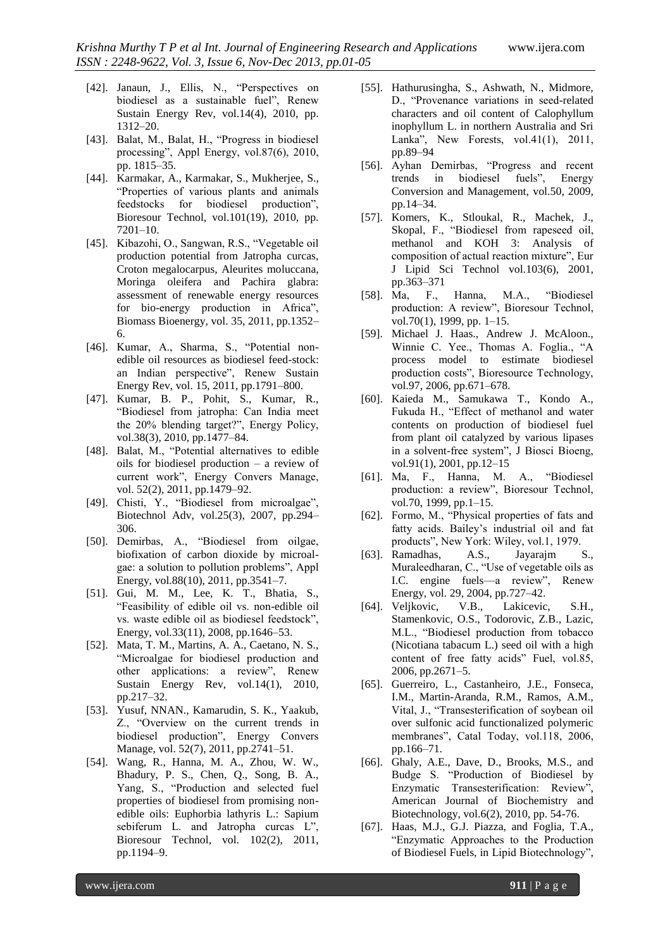- [42]. Janaun, J., Ellis, N., "Perspectives on biodiesel as a sustainable fuel", Renew Sustain Energy Rev, vol.14(4), 2010, pp. 1312–20.
- [43]. Balat, M., Balat, H., "Progress in biodiesel processing", Appl Energy, vol.87(6), 2010, pp. 1815–35.
- [44]. Karmakar, A., Karmakar, S., Mukherjee, S., "Properties of various plants and animals feedstocks for biodiesel production", Bioresour Technol, vol.101(19), 2010, pp. 7201–10.
- [45]. Kibazohi, O., Sangwan, R.S., "Vegetable oil production potential from Jatropha curcas, Croton megalocarpus, Aleurites moluccana, Moringa oleifera and Pachira glabra: assessment of renewable energy resources for bio-energy production in Africa", Biomass Bioenergy, vol. 35, 2011, pp.1352– 6.
- [46]. Kumar, A., Sharma, S., "Potential nonedible oil resources as biodiesel feed-stock: an Indian perspective", Renew Sustain Energy Rev, vol. 15, 2011, pp.1791–800.
- [47]. Kumar, B. P., Pohit, S., Kumar, R., "Biodiesel from jatropha: Can India meet the 20% blending target?", Energy Policy, vol.38(3), 2010, pp.1477–84.
- [48]. Balat, M., "Potential alternatives to edible oils for biodiesel production – a review of current work", Energy Convers Manage, vol. 52(2), 2011, pp.1479–92.
- [49]. Chisti, Y., "Biodiesel from microalgae", Biotechnol Adv, vol.25(3), 2007, pp.294– 306.
- [50]. Demirbas, A., "Biodiesel from oilgae, biofixation of carbon dioxide by microalgae: a solution to pollution problems", Appl Energy, vol.88(10), 2011, pp.3541–7.
- [51]. Gui, M. M., Lee, K. T., Bhatia, S., "Feasibility of edible oil vs. non-edible oil vs. waste edible oil as biodiesel feedstock", Energy, vol.33(11), 2008, pp.1646–53.
- [52]. Mata, T. M., Martins, A. A., Caetano, N. S., "Microalgae for biodiesel production and other applications: a review", Renew Sustain Energy Rev, vol.14(1), 2010, pp.217–32.
- [53]. Yusuf, NNAN., Kamarudin, S. K., Yaakub, Z., "Overview on the current trends in biodiesel production", Energy Convers Manage, vol. 52(7), 2011, pp.2741–51.
- [54]. Wang, R., Hanna, M. A., Zhou, W. W., Bhadury, P. S., Chen, Q., Song, B. A., Yang, S., "Production and selected fuel properties of biodiesel from promising nonedible oils: Euphorbia lathyris L.: Sapium sebiferum L. and Jatropha curcas L", Bioresour Technol, vol. 102(2), 2011, pp.1194–9.
- [55]. Hathurusingha, S., Ashwath, N., Midmore, D., "Provenance variations in seed-related characters and oil content of Calophyllum inophyllum L. in northern Australia and Sri Lanka", New Forests, vol.41(1), 2011, pp.89–94
- [56]. Ayhan Demirbas, "Progress and recent trends in biodiesel fuels", Energy Conversion and Management, vol.50, 2009, pp.14–34.
- [57]. Komers, K., Stloukal, R., Machek, J., Skopal, F., "Biodiesel from rapeseed oil, methanol and KOH 3: Analysis of composition of actual reaction mixture", Eur J Lipid Sci Technol vol.103(6), 2001, pp.363–371
- [58]. Ma, F., Hanna, M.A., "Biodiesel production: A review", Bioresour Technol, vol.70(1), 1999, pp. 1–15.
- [59]. Michael J. Haas., Andrew J. McAloon., Winnie C. Yee., Thomas A. Foglia., "A process model to estimate biodiesel production costs", Bioresource Technology, vol.97, 2006, pp.671–678.
- [60]. Kaieda M., Samukawa T., Kondo A., Fukuda H., "Effect of methanol and water contents on production of biodiesel fuel from plant oil catalyzed by various lipases in a solvent-free system", J Biosci Bioeng, vol.91(1), 2001, pp.12–15
- [61]. Ma, F., Hanna, M. A., "Biodiesel production: a review", Bioresour Technol, vol.70, 1999, pp.1–15.
- [62]. Formo, M., "Physical properties of fats and fatty acids. Bailey's industrial oil and fat products", New York: Wiley, vol.1, 1979.
- [63]. Ramadhas, A.S., Jayarajm S., Muraleedharan, C., "Use of vegetable oils as I.C. engine fuels—a review", Renew Energy, vol. 29, 2004, pp.727–42.
- [64]. Veljkovic, V.B., Lakicevic, S.H., Stamenkovic, O.S., Todorovic, Z.B., Lazic, M.L., "Biodiesel production from tobacco (Nicotiana tabacum L.) seed oil with a high content of free fatty acids" Fuel, vol.85, 2006, pp.2671–5.
- [65]. Guerreiro, L., Castanheiro, J.E., Fonseca, I.M., Martin-Aranda, R.M., Ramos, A.M., Vital, J., "Transesterification of soybean oil over sulfonic acid functionalized polymeric membranes", Catal Today, vol.118, 2006, pp.166–71.
- [66]. Ghaly, A.E., Dave, D., Brooks, M.S., and Budge S. "Production of Biodiesel by Enzymatic Transesterification: Review", American Journal of Biochemistry and Biotechnology, vol.6(2), 2010, pp. 54-76.
- [67]. Haas, M.J., G.J. Piazza, and Foglia, T.A., "Enzymatic Approaches to the Production of Biodiesel Fuels, in Lipid Biotechnology",